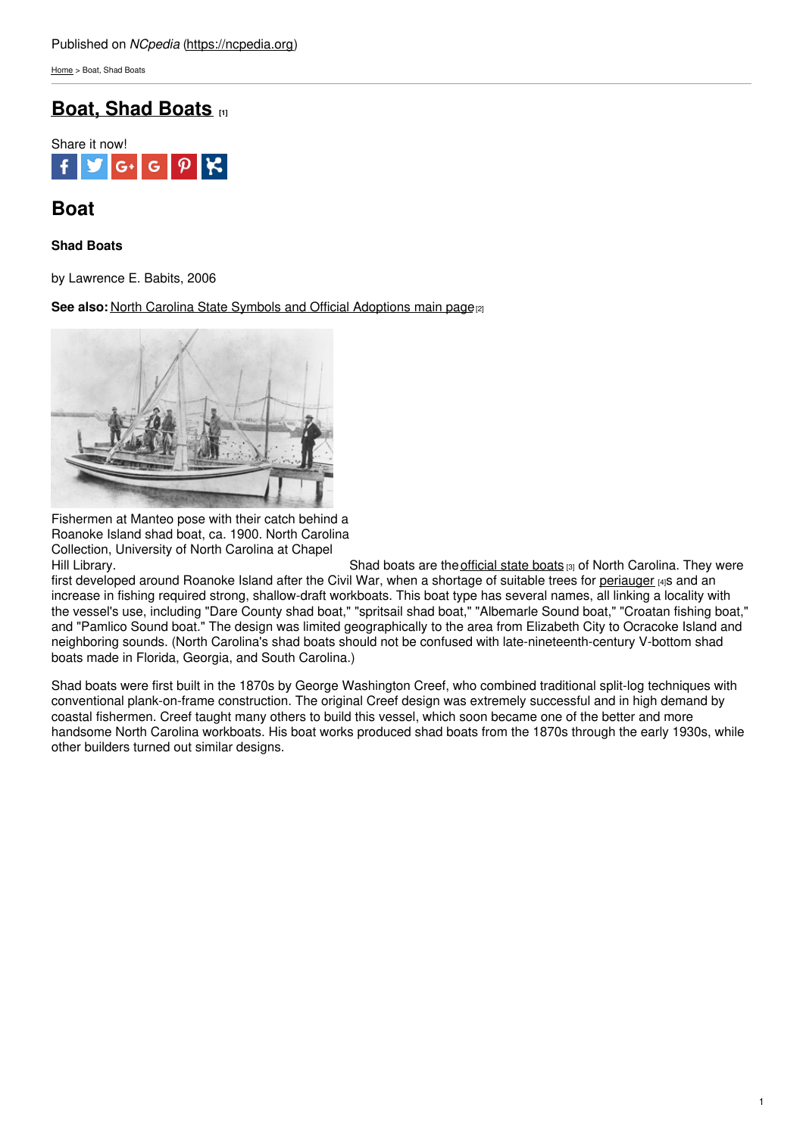[Home](https://ncpedia.org/) > Boat, Shad Boats

# **Boat, Shad [Boats](https://ncpedia.org/symbols/boat) [1]**



## **Boat**

### **Shad Boats**

by Lawrence E. Babits, 2006

**See also: North Carolina State Symbols and Official [Adoptions](https://ncpedia.org/symbols) main page<sup>[2]</sup>** 



Fishermen at Manteo pose with their catch behind a Roanoke Island shad boat, ca. 1900. North Carolina Collection, University of North Carolina at Chapel

Hill Library. They were shad boats are the [official](https://www.ncleg.net/EnactedLegislation/SessionLaws/HTML/1987-1988/SL1987-366.html) state boats (3) of North Carolina. They were first developed around Roanoke Island after the Civil War, when a shortage of suitable trees for [periauger](https://ncpedia.org/periauger) [4]s and an increase in fishing required strong, shallow-draft workboats. This boat type has several names, all linking a locality with the vessel's use, including "Dare County shad boat," "spritsail shad boat," "Albemarle Sound boat," "Croatan fishing boat," and "Pamlico Sound boat." The design was limited geographically to the area from Elizabeth City to Ocracoke Island and neighboring sounds. (North Carolina's shad boats should not be confused with late-nineteenth-century V-bottom shad boats made in Florida, Georgia, and South Carolina.)

Shad boats were first built in the 1870s by George Washington Creef, who combined traditional split-log techniques with conventional plank-on-frame construction. The original Creef design was extremely successful and in high demand by coastal fishermen. Creef taught many others to build this vessel, which soon became one of the better and more handsome North Carolina workboats. His boat works produced shad boats from the 1870s through the early 1930s, while other builders turned out similar designs.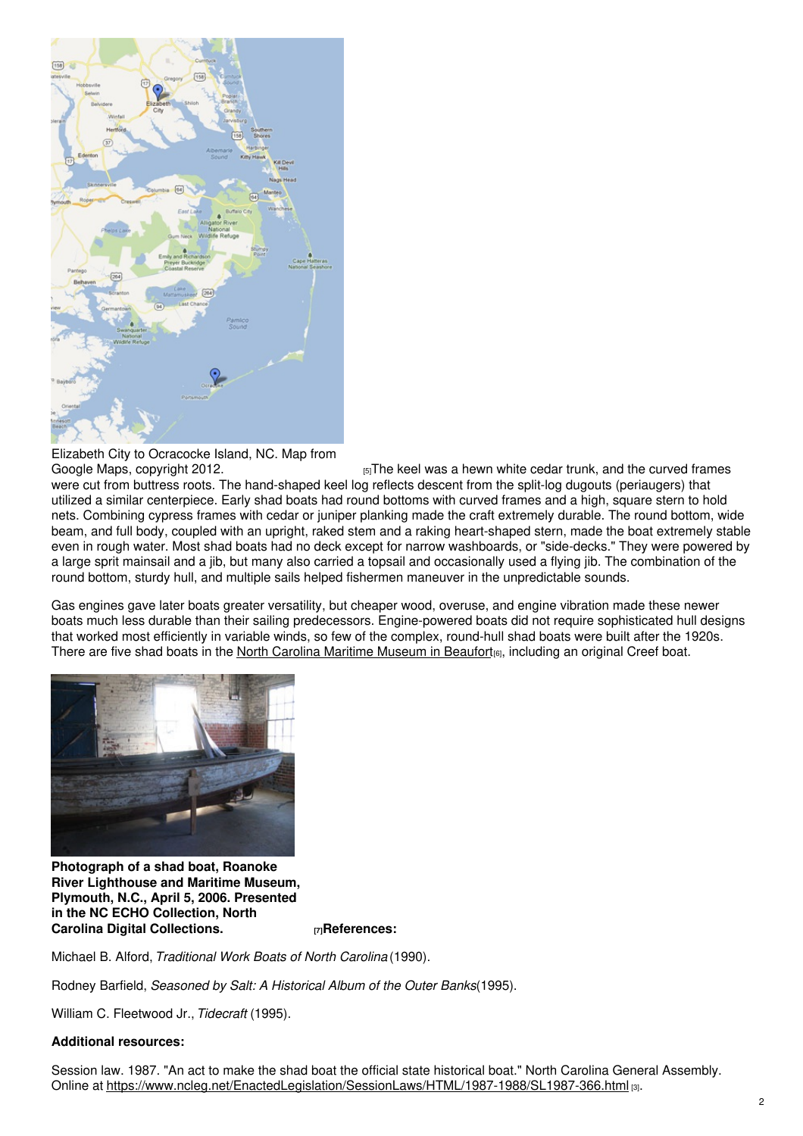

Elizabeth City to Ocracocke Island, NC. Map from

Google Maps, [copyright](http://maps.google.com/maps?saddr=elizabeth+city,+nc&daddr=Ocracoke+Island,+Ocracoke,+NC&hl=en&sll=37.0625,-95.677068&sspn=55.718442,98.789063&geocode=FcnPKQIdWoB0-ynFe_AJp0WliTGD6DxesO2zqA%3BFXfOFwIdLp94-yGwLW25CwVc3A&oq=ocra&mra=ls&t=m&z=9) 2012. **Example 2014 Example 2014 Example 2014 EXEC** is sa hewn white cedar trunk, and the curved frames were cut from buttress roots. The hand-shaped keel log reflects descent from the split-log dugouts (periaugers) that utilized a similar centerpiece. Early shad boats had round bottoms with curved frames and a high, square stern to hold nets. Combining cypress frames with cedar or juniper planking made the craft extremely durable. The round bottom, wide beam, and full body, coupled with an upright, raked stem and a raking heart-shaped stern, made the boat extremely stable even in rough water. Most shad boats had no deck except for narrow washboards, or "side-decks." They were powered by a large sprit mainsail and a jib, but many also carried a topsail and occasionally used a flying jib. The combination of the round bottom, sturdy hull, and multiple sails helped fishermen maneuver in the unpredictable sounds.

Gas engines gave later boats greater versatility, but cheaper wood, overuse, and engine vibration made these newer boats much less durable than their sailing predecessors. Engine-powered boats did not require sophisticated hull designs that worked most efficiently in variable winds, so few of the complex, round-hull shad boats were built after the 1920s. There are five shad boats in the North Carolina Maritime [Museum](https://ncpedia.org/north-carolina-maritime-museum) in Beaufort<sub>[6]</sub>, including an original Creef boat.



**Photograph of a shad boat, Roanoke River Lighthouse and Maritime Museum, Plymouth, N.C., April 5, 2006. Presented in the NC ECHO Collection, North Carolina Digital [Collections.](http://digital.ncdcr.gov/cdm/ref/collection/p16062coll8/id/9926) [7]References:**

Michael B. Alford, *Traditional Work Boats of North Carolina* (1990).

Rodney Barfield, *Seasoned by Salt: A Historical Album of the Outer Banks*(1995).

William C. Fleetwood Jr.,*Tidecraft* (1995).

#### **Additional resources:**

Session law. 1987. "An act to make the shad boat the official state historical boat." North Carolina General Assembly. Online at <https://www.ncleg.net/EnactedLegislation/SessionLaws/HTML/1987-1988/SL1987-366.html> [3].